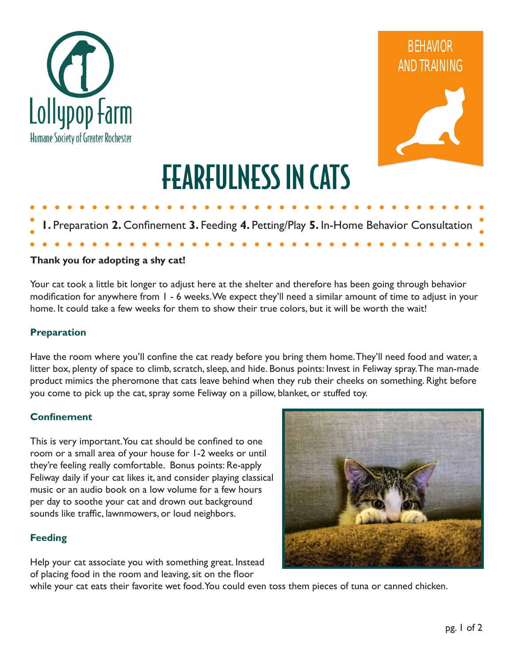



# FEARFULNESS IN CATS

# **1.** Preparation **2.** Confinement **3.** Feeding **4.** Petting/Play **5.** In-Home Behavior Consultation

### **Thank you for adopting a shy cat!**

Your cat took a little bit longer to adjust here at the shelter and therefore has been going through behavior modification for anywhere from 1 - 6 weeks. We expect they'll need a similar amount of time to adjust in your home. It could take a few weeks for them to show their true colors, but it will be worth the wait!

#### **Preparation**

Have the room where you'll confine the cat ready before you bring them home. They'll need food and water, a litter box, plenty of space to climb, scratch, sleep, and hide. Bonus points: Invest in Feliway spray. The man-made product mimics the pheromone that cats leave behind when they rub their cheeks on something. Right before you come to pick up the cat, spray some Feliway on a pillow, blanket, or stuffed toy.

#### **Confinement**

This is very important. You cat should be confined to one room or a small area of your house for 1-2 weeks or until they're feeling really comfortable. Bonus points: Re-apply Feliway daily if your cat likes it, and consider playing classical music or an audio book on a low volume for a few hours per day to soothe your cat and drown out background sounds like traffic, lawnmowers, or loud neighbors.

### **Feeding**

Help your cat associate you with something great. Instead of placing food in the room and leaving, sit on the floor



while your cat eats their favorite wet food. You could even toss them pieces of tuna or canned chicken.